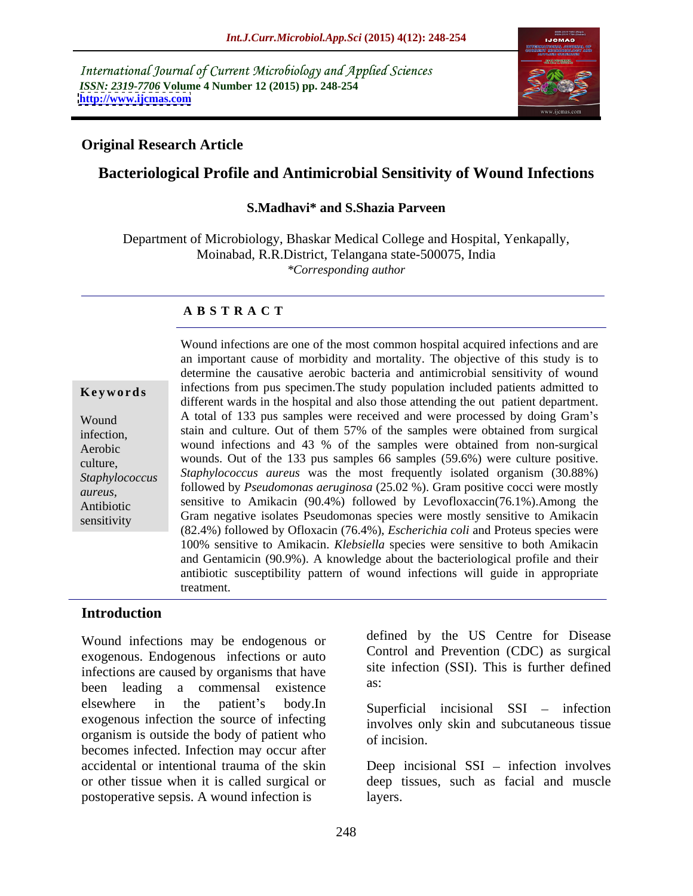International Journal of Current Microbiology and Applied Sciences *ISSN: 2319-7706* **Volume 4 Number 12 (2015) pp. 248-254 <http://www.ijcmas.com>**



## **Original Research Article**

# **Bacteriological Profile and Antimicrobial Sensitivity of Wound Infections**

## **S.Madhavi\* and S.Shazia Parveen**

Department of Microbiology, Bhaskar Medical College and Hospital, Yenkapally, Moinabad, R.R.District, Telangana state-500075, India *\*Corresponding author*

### **A B S T R A C T**

sensitivity

Wound infections are one of the most common hospital acquired infections and are an important cause of morbidity and mortality. The objective of this study is to determine the causative aerobic bacteria and antimicrobial sensitivity of wound **Keywords** infections from pus specimen. The study population included patients admitted to different wards in the hospital and also those attending the out patient department. Wound A total of 133 pus samples were received and were processed by doing Gram's stain and culture. Out of them 57% of the samples were obtained from surgical<br>infection, wound infections and 43 % of the samples were obtained from non-surgical Aerobic culture, wounds. Out of the 133 pus samples 66 samples (59.6%) were culture positive. *Staphylococcus Staphylococcus aureus* was the most frequently isolated organism (30.88%) followed by *Pseudomonas aeruginosa* (25.02 %). Gram positive cocci were mostly failured by *Pseudomonas aeruginosa* (25.02 %). sensitive to Amikacin (90.4%) followed by Levofloxaccin(76.1%).Among the Antibiotic Gram negative isolates Pseudomonas species were mostly sensitive to Amikacin (82.4%) followed by Ofloxacin (76.4%), *Escherichia coli* and Proteus species were 100% sensitive to Amikacin. *Klebsiella* species were sensitive to both Amikacin and Gentamicin (90.9%). A knowledge about the bacteriological profile and their antibiotic susceptibility pattern of wound infections will guide in appropriate treatment.

## **Introduction**

Wound infections may be endogenous or exogenous. Endogenous infections or auto infections are caused by organisms that have site<br>have been looding a commanded victorial as: been leading a commensal existence  $\mu$  elsewhere in the patient's body.In Superficial incisional SSI – infection exogenous infection the source of infecting organism is outside the body of patient who of incision. becomes infected. Infection may occur after accidental or intentional trauma of the skin Deep incisional SSI – infection involves or other tissue when it is called surgical or deep tissues, such as facial and muscle postoperative sepsis. A wound infection is

defined by the US Centre for Disease Control and Prevention (CDC) as surgical site infection (SSI). This is further defined as:

involves only skin and subcutaneous tissue of incision.

layers.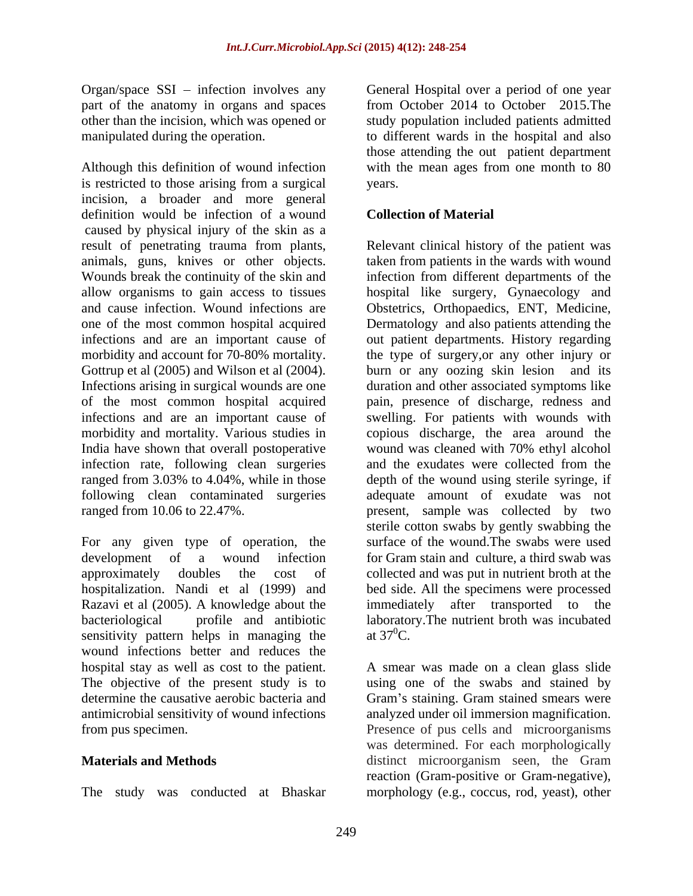Organ/space SSI - infection involves any part of the anatomy in organs and spaces<br>other than the incision, which was opened or

Although this definition of wound infection is restricted to those arising from a surgical incision, a broader and more general definition would be infection of a wound caused by physical injury of the skin as a result of penetrating trauma from plants, Relevant clinical history of the patient was animals, guns, knives or other objects. taken from patients in the wards with wound Wounds break the continuity of the skin and infection from different departments of the allow organisms to gain access to tissues and cause infection. Wound infections are Obstetrics, Orthopaedics, ENT, Medicine, one of the most common hospital acquired Dermatology and also patients attending the infections and are an important cause of out patient departments. History regarding morbidity and account for 70-80% mortality. the type of surgery,or any other injury or Gottrup et al (2005) and Wilson et al (2004). Infections arising in surgical wounds are one duration and other associated symptoms like of the most common hospital acquired pain, presence of discharge, redness and infections and are an important cause of swelling. For patients with wounds with morbidity and mortality. Various studies in copious discharge, the area around the India have shown that overall postoperative wound was cleaned with 70% ethyl alcohol infection rate, following clean surgeries and the exudates were collected from the ranged from 3.03% to 4.04%, while in those depth of the wound using sterile syringe, if following clean contaminated surgeries adequate amount of exudate was not

For any given type of operation, the Razavi et al (2005). A knowledge about the immediately after transported to the sensitivity pattern helps in managing the at  $37^0C$ . wound infections better and reduces the hospital stay as well as cost to the patient. A smear was made on a clean glass slide The objective of the present study is to using one of the swabs and stained by determine the causative aerobic bacteria and Gram's staining. Gram stained smears were antimicrobial sensitivity of wound infections

The study was conducted at Bhaskar morphology (e.g., coccus, rod, yeast), other

other than the incision, which was opened or study population included patients admitted manipulated during the operation. to different wards in the hospital and also General Hospital over a period of one year from October 2014 to October 2015.The those attending the out patient department with the mean ages from one month to 80 years.

## **Collection of Material**

ranged from 10.06 to 22.47%. present, sample was collected by two development of a wound infection for Gram stain and culture, a third swab was approximately doubles the cost of collected and was put in nutrient broth at the hospitalization. Nandi et al (1999) and bed side. All the specimens were processed bacteriological profile and antibiotic laboratory.The nutrient broth was incubated hospital like surgery, Gynaecology and burn or any oozing skin lesion and its depth of the wound using sterile syringe, if sterile cotton swabs by gently swabbing the surface of the wound.The swabs were used immediately after transported to the at  $37^0$ C.

from pus specimen. Presence of pus cells and microorganisms **Materials and Methods Example 20** and **Materials and Methods Example 20** and **Methods Example 20** and **Methods Example 20** and **Methods Example 20** and **Methods Example 20** and **Methods Example 20** and **Meth** Gram's staining. Gram stained smears were analyzed under oil immersion magnification. was determined. For each morphologically distinct microorganism seen, the Gram reaction (Gram-positive or Gram-negative),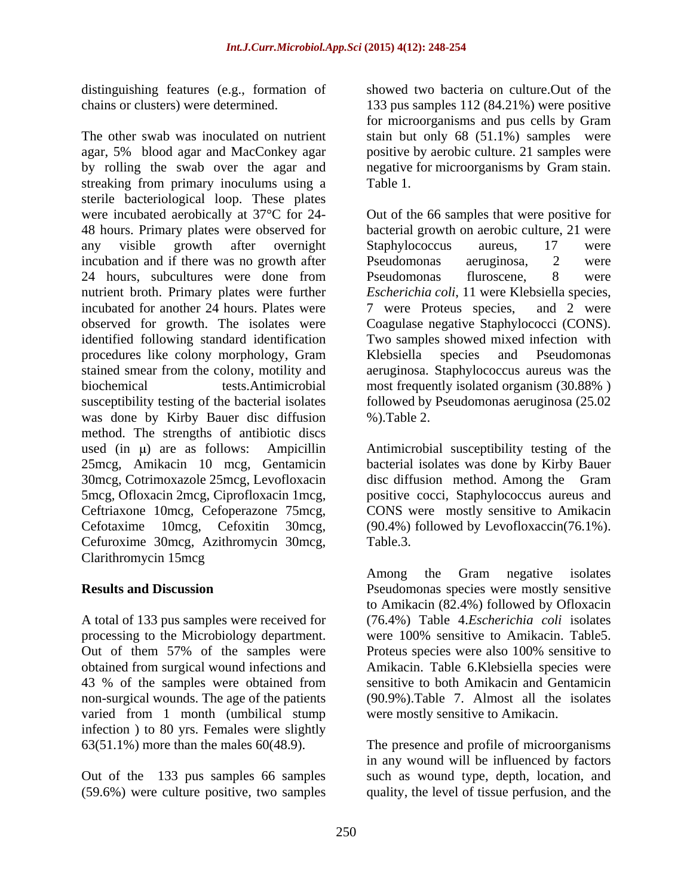distinguishing features (e.g., formation of

The other swab was inoculated on nutrient stain but only 68 (51.1%) samples were agar, 5% blood agar and MacConkey agar by rolling the swab over the agar and streaking from primary inoculums using a Table 1. sterile bacteriological loop. These plates were incubated aerobically at 37<sup>o</sup>C for 24- Out of the 66 samples that were positive for 48 hours. Primary plates were observed for bacterial growth on aerobic culture, 21 were any visible growth after overnight Staphylococcus aureus, 17 were incubation and if there was no growth after Pseudomonas aeruginosa, 2 were 24 hours, subcultures were done from Pseudomonas fluroscene, 8 were nutrient broth. Primary plates were further incubated for another 24 hours. Plates were 7 were Proteus species, and 2 were observed for growth. The isolates were Coagulase negative Staphylococci (CONS). identified following standard identification Two samples showed mixed infection with procedures like colony morphology, Gram Klebsiella species and Pseudomonas stained smear from the colony, motility and aeruginosa. Staphylococcus aureus was the biochemical tests.Antimicrobial most frequently isolated organism (30.88% ) susceptibility testing of the bacterial isolates followed by Pseudomonas aeruginosa (25.02 was done by Kirby Bauer disc diffusion %). Table 2. method. The strengths of antibiotic discs used  $(in \mu)$  are as follows: Ampicillin Antimicrobial susceptibility testing of the 25mcg, Amikacin 10 mcg, Gentamicin bacterial isolates was done by Kirby Bauer 30mcg, Cotrimoxazole 25mcg, Levofloxacin disc diffusion method. Among the Gram 5mcg, Ofloxacin 2mcg, Ciprofloxacin 1mcg, positive cocci, Staphylococcus aureus and<br>Ceftriaxone 10mcg, Cefoperazone 75mcg, CONS were mostly sensitive to Amikacin<br>Cefuroxime 30mcg, Azithromycin 30mcg, Table.3.<br>Clarithromyci

A total of 133 pus samples were received for processing to the Microbiology department. Out of them 57% of the samples were 43 % of the samples were obtained from non-surgical wounds. The age of the patients varied from 1 month (umbilical stump infection ) to 80 yrs. Females were slightly

Out of the 133 pus samples 66 samples

chains or clusters) were determined. 133 pus samples 112 (84.21%) were positive showed two bacteria on culture.Out of the for microorganisms and pus cells by Gram positive by aerobic culture. 21 samples were negative for microorganisms by Gram stain. Table 1.

> Staphylococcus aureus, 17 were Pseudomonas aeruginosa, 2 were Pseudomonas fluroscene, 8 were *Escherichia coli*, 11 were Klebsiella species, 7 were Proteus species, and 2 were Klebsiella species and Pseudomonas %).Table 2.

positive cocci, Staphylococcus aureus and CONS were mostly sensitive to Amikacin (90.4%) followed by Levofloxaccin(76.1%). Table.3.

**Results and Discussion Pseudomonas species were mostly sensitive** obtained from surgical wound infections and Amikacin. Table 6.Klebsiella species were Among the Gram negative isolates to Amikacin (82.4%) followed by Ofloxacin (76.4%) Table 4.*Escherichia coli* isolates were 100% sensitive to Amikacin. Table5. Proteus species were also 100% sensitive to sensitive to both Amikacin and Gentamicin (90.9%).Table 7. Almost all the isolates were mostly sensitive to Amikacin.

63(51.1%) more than the males 60(48.9). The presence and profile of microorganisms (59.6%) were culture positive, two samples quality, the level of tissue perfusion, and thein any wound will be influenced by factors such as wound type, depth, location, and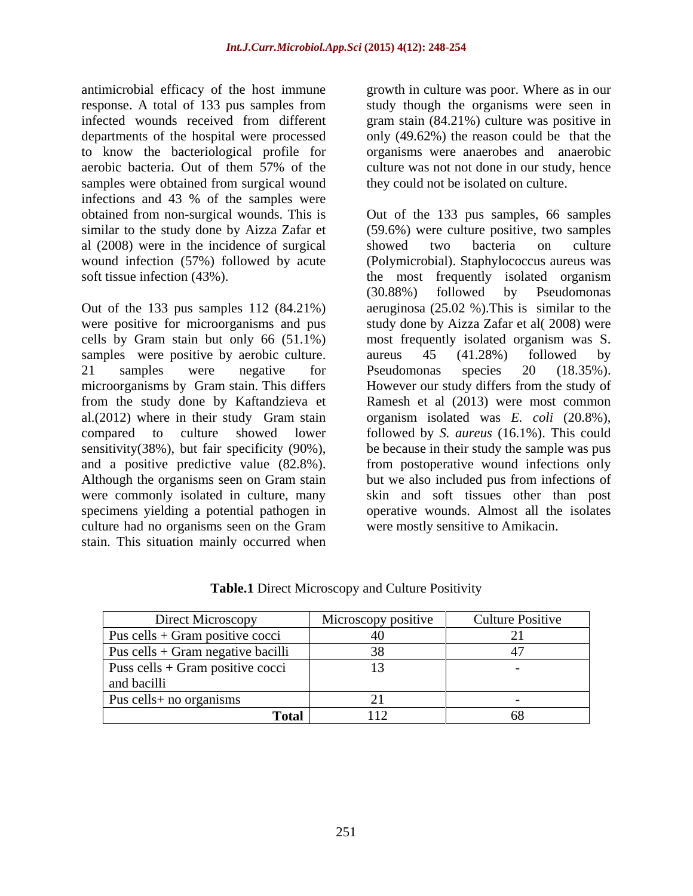antimicrobial efficacy of the host immune growth in culture was poor. Where as in our response. A total of 133 pus samples from study though the organisms were seen in infected wounds received from different gram stain (84.21%) culture was positive in departments of the hospital were processed only (49.62%) the reason could be that the to know the bacteriological profile for aerobic bacteria. Out of them 57% of the culture was not not done in our study, hence samples were obtained from surgical wound infections and 43 % of the samples were obtained from non-surgical wounds. This is similar to the study done by Aizza Zafar et al (2008) were in the incidence of surgical soft tissue infection (43%). The most frequently isolated organism

Out of the 133 pus samples 112 (84.21%) samples were positive by aerobic culture. aureus 45 (41.28%) followed by culture had no organisms seen on the Gram stain. This situation mainly occurred when

organisms were anaerobes and anaerobic they could not be isolated on culture.

wound infection (57%) followed by acute (Polymicrobial). Staphylococcus aureus was were positive for microorganisms and pus study done by Aizza Zafar et al( 2008) were cells by Gram stain but only 66 (51.1%) most frequently isolated organism was S. 21 samples were negative for Pseudomonas species 20 (18.35%). microorganisms by Gram stain. This differs However our study differs from the study of from the study done by Kaftandzieva et Ramesh et al (2013) were most common al.(2012) where in their study Gram stain organism isolated was *E. coli* (20.8%), compared to culture showed lower followed by *S. aureus* (16.1%). This could sensitivity(38%), but fair specificity (90%), be because in their study the sample was pus and a positive predictive value (82.8%). from postoperative wound infections only Although the organisms seen on Gram stain but we also included pus from infections of were commonly isolated in culture, many skin and soft tissues other than post specimens yielding a potential pathogen in operative wounds. Almost all the isolates Out of the 133 pus samples, 66 samples (59.6%) were culture positive, two samples showed two bacteria on culture the most frequently isolated organism (30.88%) followed by Pseudomonas aeruginosa (25.02 %).This is similar to the aureus 45 (41.28%) followed by Pseudomonas species 20 (18.35%). were mostly sensitive to Amikacin.

| Direct Microscopy                         | Microscopy positive | <b>Culture Positive</b> |
|-------------------------------------------|---------------------|-------------------------|
| $\vert$ Pus cells + Gram positive cocci   |                     |                         |
| $\vert$ Pus cells + Gram negative bacilli |                     |                         |
| Puss cells + Gram positive cocci          |                     |                         |
| and bacilli                               |                     |                         |
| Pus cells + no organisms                  |                     |                         |
| <b>Total</b>                              |                     |                         |

**Table.1** Direct Microscopy and Culture Positivity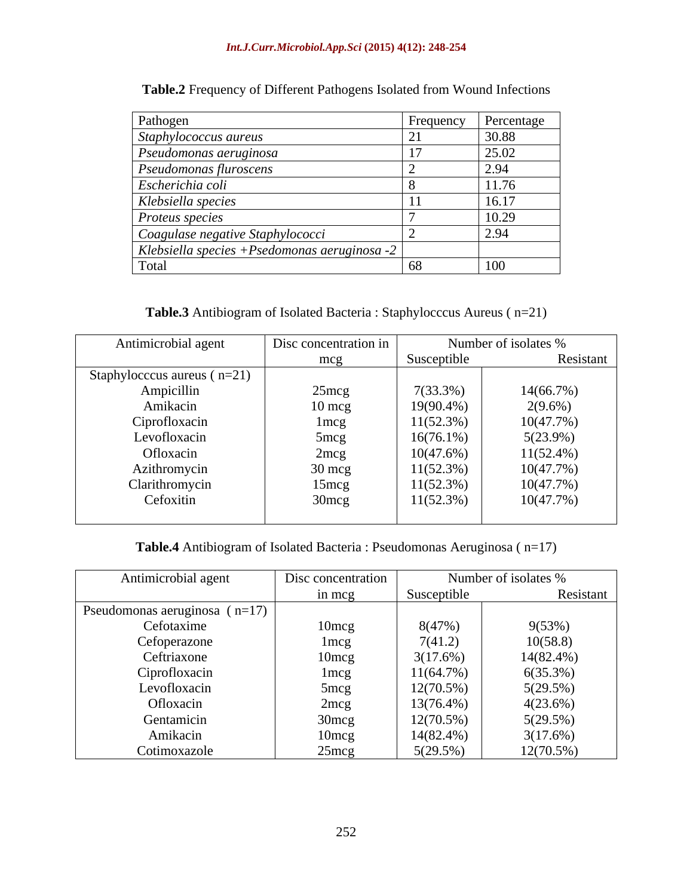### *Int.J.Curr.Microbiol.App.Sci* **(2015) 4(12): 248-254**

| Pathogen                                      | Frequency | Percentage |
|-----------------------------------------------|-----------|------------|
| Staphylococcus aureus                         |           | 30.88      |
| Pseudomonas aeruginosa                        |           | 25.02      |
| Pseudomonas fluroscens                        |           | 2.94       |
| Escherichia coli                              |           | 11.76      |
| Klebsiella species                            |           | 16.17      |
| Proteus species                               |           | 10.29      |
| Coagulase negative Staphylococci              |           | 2.94       |
| Klebsiella species + Psedomonas aeruginosa -2 |           |            |
| Total                                         |           | 100        |

**Table.2** Frequency of Different Pathogens Isolated from Wound Infections

**Table.3** Antibiogram of Isolated Bacteria : Staphylocccus Aureus ( n=21)

| Antimicrobial agent             | Disc concentration in |              | Number of isolates % |
|---------------------------------|-----------------------|--------------|----------------------|
|                                 | mcg                   | Susceptible  | Resistant            |
| Staphylocecus aureus ( $n=21$ ) |                       |              |                      |
| Ampicillin                      | $25 \text{mcg}$       | $7(33.3\%)$  | 14(66.7%)            |
| Amikacin                        | $10 \text{ mcg}$      | $19(90.4\%)$ | $2(9.6\%)$           |
| Ciprofloxacin                   | $1 \text{mcg}$        | $11(52.3\%)$ | 10(47.7%)            |
| Levofloxacin                    | 5 <sub>mcg</sub>      | $16(76.1\%)$ | $5(23.9\%)$          |
| Ofloxacin                       | 2mcg                  | 10(47.6%)    | $11(52.4\%)$         |
| Azithromycin                    | $30 \text{ mcg}$      | 11(52.3%)    | 10(47.7%)            |
| Clarithromycin                  | $15 \text{mcg}$       | $11(52.3\%)$ | 10(47.7%)            |
| Cefoxitin                       | $30$ mcg              | 11(52.3%)    | 10(47.7%)            |
|                                 |                       |              |                      |

**Table.4** Antibiogram of Isolated Bacteria : Pseudomonas Aeruginosa ( n=17)

| Antimicrobial agent               | Disc concentration |              | Number of isolates % |
|-----------------------------------|--------------------|--------------|----------------------|
|                                   | in mcg             | Susceptible  | Resistant            |
| Pseudomonas aeruginosa ( $n=17$ ) |                    |              |                      |
| Cefotaxime                        | 10 <sub>mcg</sub>  | 8(47%)       | 9(53%)               |
| Cefoperazone                      | lmeg               | 7(41.2)      | 10(58.8)             |
| Ceftriaxone                       | 10 <sub>mcg</sub>  | 3(17.6%)     | $14(82.4\%)$         |
| Ciprofloxacin                     | $1 \text{mcg}$     | 11(64.7%)    | 6(35.3%)             |
| Levofloxacin                      | 5mcg               | $12(70.5\%)$ | 5(29.5%)             |
| Ofloxacin                         | 2 <sub>mcg</sub>   | $13(76.4\%)$ | 4(23.6%)             |
| Gentamicin                        | 30mcg              | $12(70.5\%)$ | 5(29.5%)             |
| Amikacin                          | 10 <sub>mcg</sub>  | $14(82.4\%)$ | 3(17.6%)             |
| Cotimoxazole                      | $25$ mcg           | $5(29.5\%)$  | $12(70.5\%)$         |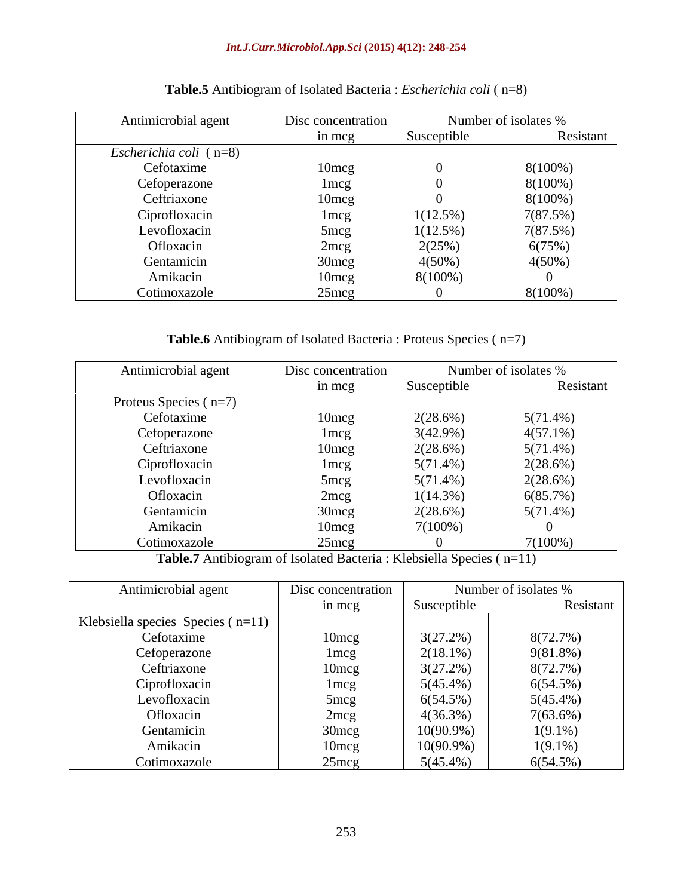| Antimicrobial agent           | Disc concentration |             | Number of isolates % |
|-------------------------------|--------------------|-------------|----------------------|
|                               | in mcg             | Susceptible | Resistant            |
| <i>Escherichia coli</i> (n=8) |                    |             |                      |
| Cefotaxime                    | 10 <sub>mcg</sub>  |             | $8(100\%)$           |
| Cefoperazone                  | 1 <sub>mcg</sub>   |             | $8(100\%)$           |
| Ceftriaxone                   | 10 <sub>mcg</sub>  |             | $8(100\%)$           |
| Ciprofloxacin                 | 1 mcg              | $1(12.5\%)$ | 7(87.5%)             |
| Levofloxacin                  | $5 \text{mcg}$     | $1(12.5\%)$ | 7(87.5%)             |
| Ofloxacin                     | 2mcg               | 2(25%)      | 6(75%)               |
| Gentamicin                    | $30 \text{mcg}$    | $4(50\%)$   | $4(50\%)$            |
| Amikacin                      | 10 <sub>mcg</sub>  | $8(100\%)$  |                      |
| Cotimoxazole                  | $25$ mcg           |             | $8(100\%)$           |

# **Table.5** Antibiogram of Isolated Bacteria : *Escherichia coli* ( n=8)

**Table.6** Antibiogram of Isolated Bacteria : Proteus Species ( n=7)

| Antimicrobial agent     | Disc concentration |             | Number of isolates % |
|-------------------------|--------------------|-------------|----------------------|
|                         | in mcg             | Susceptible | Resistant            |
| Proteus Species $(n=7)$ |                    |             |                      |
| Cefotaxime              | 10mcg              | $2(28.6\%)$ | $5(71.4\%)$          |
| Cefoperazone            | 1 m cg             | $3(42.9\%)$ | $4(57.1\%)$          |
| Ceftriaxone             | $10 \text{mcg}$    | 2(28.6%)    | $5(71.4\%)$          |
| Ciprofloxacin           | lmcg               | $5(71.4\%)$ | 2(28.6%)             |
| Levofloxacin            | $5 \text{mcg}$     | $5(71.4\%)$ | $2(28.6\%)$          |
| Ofloxacin               | 2mcg               | $1(14.3\%)$ | 6(85.7%)             |
| Gentamicin              | $30 \text{mcg}$    | 2(28.6%)    | $5(71.4\%)$          |
| Amikacin                | $10$ mcg           | $7(100\%)$  |                      |
| Cotimoxazole            | 25mcg              |             | $7(100\%)$           |

**Table.7** Antibiogram of Isolated Bacteria : Klebsiella Species ( n=11)

| Antimicrobial agent                   | Disc concentration |              | Number of isolates % |
|---------------------------------------|--------------------|--------------|----------------------|
|                                       | in mcg             | Susceptible  | Resistant            |
| Klebsiella species Species ( $n=11$ ) |                    |              |                      |
| Cefotaxime                            | 10mcg              | 3(27.2%)     | 8(72.7%)             |
| Cefoperazone                          | 1 mcg              | $2(18.1\%)$  | $9(81.8\%)$          |
| Ceftriaxone                           | 10 <sub>mcg</sub>  | 3(27.2%)     | 8(72.7%)             |
| Ciprofloxacin                         | lmcg               | $5(45.4\%)$  | 6(54.5%)             |
| Levofloxacin                          | 5 <sub>mcg</sub>   | 6(54.5%)     | $5(45.4\%)$          |
| Ofloxacin                             | 2mcg               | 4(36.3%)     | $7(63.6\%)$          |
| Gentamicin                            | 30 <sub>mcg</sub>  | $10(90.9\%)$ | $1(9.1\%)$           |
| Amikacir                              | $10$ mcg           | $10(90.9\%)$ | $1(9.1\%)$           |
| Cotimoxazole                          | $25 \text{mcg}$    | $5(45.4\%)$  | $6(54.5\%)$          |